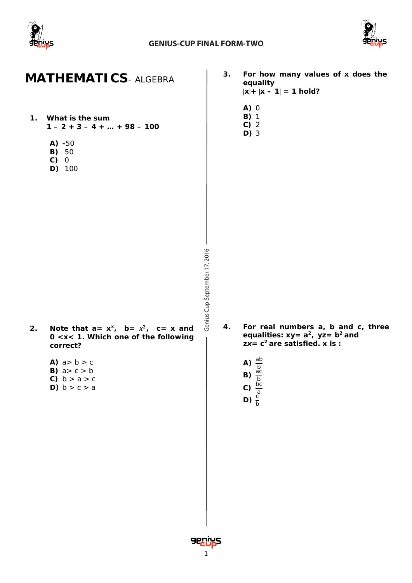



### **MATHEMATICS***- ALGEBRA*

- **1. What is the sum 1 – 2 + 3 – 4 + … + 98 – 100**
	- **A) -**50
	- **B)** 50
	- **C)** 0
	- **D)** 100
- **3. For how many values of** *x* **does the equality**  $|x| + |x - 1| = 1$  hold?
	- **A)** 0
	- **B)** 1
	- **C)** 2
	- **D)** 3

- 2. Note that  $a = x^x$ ,  $b = x^2$ ,  $c = x$  and **0 <***x***< 1. Which one of the following correct?**
	- A)  $a > b > c$ **B)**  $a > c > b$ **C)**  $b > a > c$ **D)**  $b > c > a$
- **4. For real numbers a, b and c, three equalities:** *xy***=** *a***<sup>2</sup>** *, yz***=** *b***<sup>2</sup>***and zx***=** *c* **<sup>2</sup>are satisfied.** *x* **is** *:*
	- **A)**  $\frac{ab}{b}$ <br>**B)**  $\frac{ac}{b}$ **C)**  $\frac{bc}{a}$ <br>**D)**  $\frac{c}{b}$

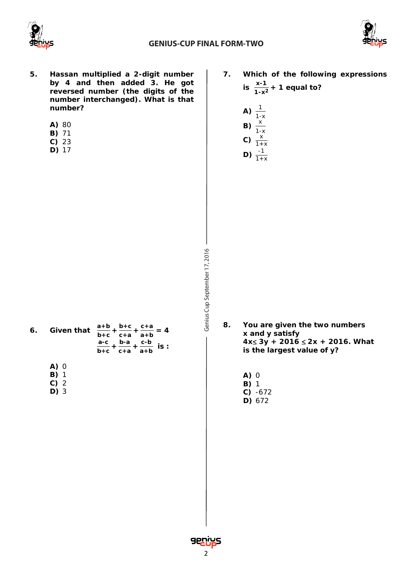



- **5. Hassan multiplied a 2-digit number by 4 and then added 3. He got reversed number (the digits of the number interchanged). What is that number?**
	- **A)** 80
	- **B)** 71
	- **C)** 23
	- **D)** 17

**7. Which of the following expressions is**  $\frac{x-1}{1-x^2}$  + 1 equal to?

A) 
$$
\frac{1}{1-x}
$$
  
\nB)  $\frac{x}{1-x}$   
\nC)  $\frac{x}{1+x}$   
\nD)  $\frac{-1}{1+x}$ 

- **6.** Given that **b+c + b+c**  $\frac{b+c}{c+a} + \frac{c+a}{a+b} = 4$ **a-c b+c + b-a**  $\frac{b-a}{c+a} + \frac{c-b}{a+b}$  is :
	- **A)** 0
	- **B)** 1
	- **C)** 2
	- **D)** 3

Genius Cup September 17, 2016 Cup September 17, 2016

- **8. You are given the two numbers x and y satisfy 4x**≤ **3y + 2016** ≤ **2x + 2016. What is the largest value of y?**
	- **A)** 0 **B)** 1 **C)** -672
	- **D)** 672

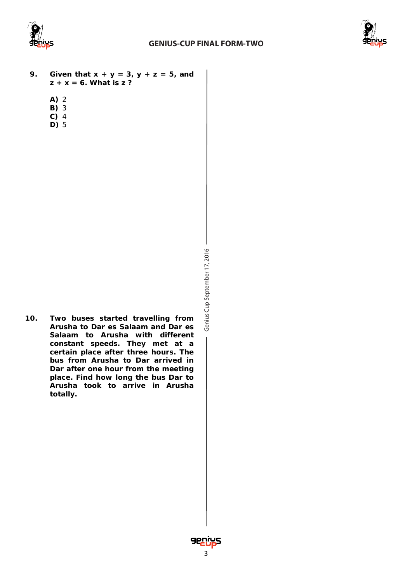



- **9. Given that x + y = 3, y + z = 5, and z + x = 6. What is z ?**
	- **A)** 2
	- **B)** 3
	- **C)** 4 **D)** 5
		-

- Genius Cup September 17, 2016 Cup September 17, 2016
- **10. Two buses started travelling from Arusha to Dar es Salaam and Dar es Salaam to Arusha with different constant speeds. They met at a certain place after three hours. The bus from Arusha to Dar arrived in Dar after one hour from the meeting place. Find how long the bus Dar to Arusha took to arrive in Arusha totally.**

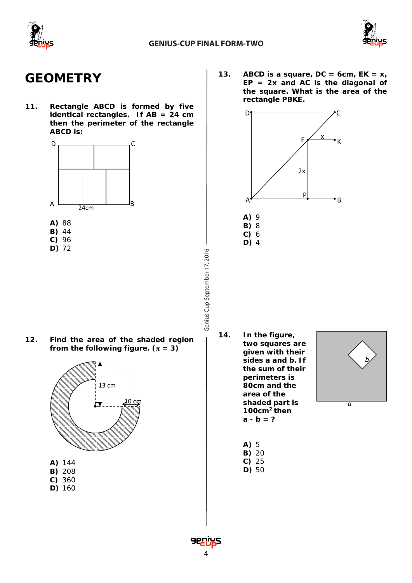



### **GEOMETRY**

**11. Rectangle ABCD is formed by five identical rectangles. If AB = 24 cm then the perimeter of the rectangle ABCD is:**



- **C)** 96
- **D)** 72

**12. Find the area of the shaded region**  from the following figure.  $(\pi = 3)$ 



- 
- **C)** 360 **D)** 160

**13. ABCD is a square, DC = 6cm, EK =**  $x_i$ **EP = 2x and AC is the diagonal of the square. What is the area of the rectangle PBKE.**



**14. In the figure, two squares are given with their sides** *a* **and** *b***. If the sum of their perimeters is 80cm and the area of the shaded part is**  10 cm *a* **100cm2 then**   $a - b = ?$ 



- **A)** 5 **B)** 20
	-
- **C)** 25
- **D)** 50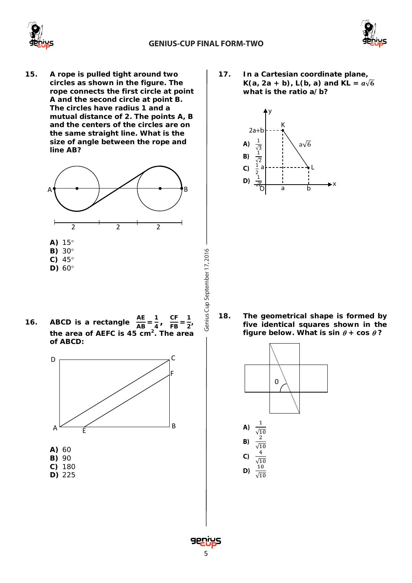



**15. A rope is pulled tight around two circles as shown in the figure. The rope connects the first circle at point A and the second circle at point B. The circles have radius 1 and a mutual distance of 2. The points A, B and the centers of the circles are on the same straight line. What is the size of angle between the rope and line AB?** 



**16. ABCD** is a rectangle  $\frac{\text{AE}}{\text{AB}} = \frac{1}{4}$  $\frac{1}{4}$ ,  $\frac{CF}{FB} = \frac{1}{2}$ **the area of AEFC is 45 cm2. The area of ABCD:** 



**D)** 225

**17. In a Cartesian coordinate plane, K**( $a, 2a + b$ ), L( $b, a$ ) and KL =  $a\sqrt{6}$ **what is the ratio a/b?**



**18. The geometrical shape is formed by five identical squares shown in the figure below. What is**  $sin \theta + cos \theta$ **?** 



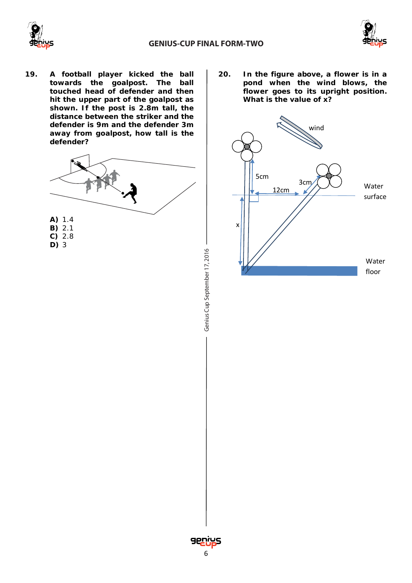



**19. A football player kicked the ball towards the goalpost. The ball touched head of defender and then hit the upper part of the goalpost as shown. If the post is 2.8m tall, the distance between the striker and the defender is 9m and the defender 3m away from goalpost, how tall is the defender?**



Genius Cup September 17, 2016 Cup September 17, 2016 **20. In the figure above, a flower is in a pond when the wind blows, the flower goes to its upright position. What is the value of x?**



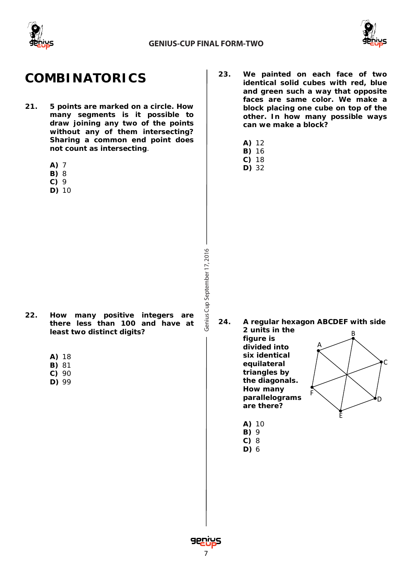



## **COMBINATORICS**

- **21. 5 points are marked on a circle. How many segments is it possible to draw joining any two of the points without any of them intersecting? Sharing a common end point does not count as intersecting**.
	- **A)** 7
	- **B)** 8
	- **C)** 9
	- **D)** 10

- **22. How many positive integers are there less than 100 and have at least two distinct digits?**
	- **A)** 18
	- **B)** 81
	- **C)** 90
	- **D)** 99
- **23. We painted on each face of two identical solid cubes with red, blue and green such a way that opposite faces are same color. We make a block placing one cube on top of the other. In how many possible ways can we make a block?**
	- **A)** 12
	- **B)** 16
	- **C)** 18
	- **D)** 32

- **24. A regular hexagon ABCDEF with side** 
	- **2 units in the figure is divided into six identical equilateral triangles by the diagonals. How many parallelograms are there?**



- **A)** 10
- **B)** 9 **C)** 8
- **D)** 6

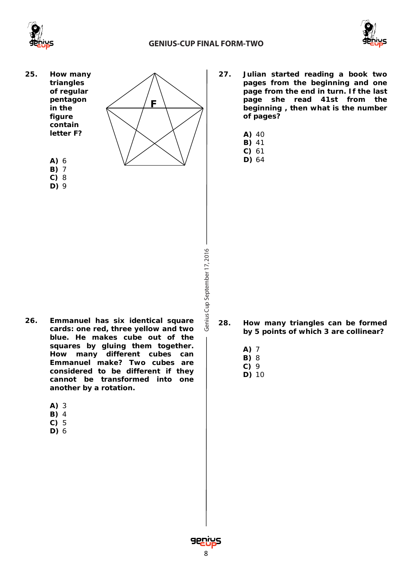



**25. How many triangles of regular pentagon in the figure contain letter F?**



- **C)** 8
- **D)** 9
- **F**
- **27. Julian started reading a book two pages from the beginning and one page from the end in turn. If the last page she read 41st from the beginning , then what is the number of pages?**
	- **A)** 40
	- **B)** 41 **C)** 61
	- **D)** 64

- **28. How many triangles can be formed by 5 points of which 3 are collinear?**
	- **A)** 7
	- **B)** 8 **C)** 9
	- **D)** 10
- **26. Emmanuel has six identical square cards: one red, three yellow and two blue. He makes cube out of the squares by gluing them together. How many different cubes can Emmanuel make? Two cubes are considered to be different if they cannot be transformed into one another by a rotation.**
	- **A)** 3
	- **B)** 4
	- **C)** 5
	- **D)** 6

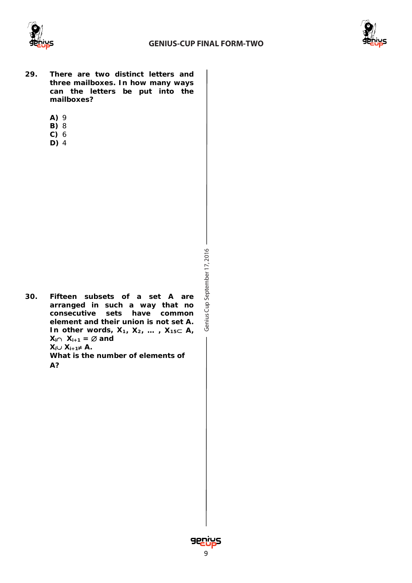



- **29. There are two distinct letters and three mailboxes. In how many ways can the letters be put into the mailboxes?**
	- **A)** 9
	- **B)** 8
	- **C)** 6
	- **D)** 4

Genius Cup September 17, 2016 Cup September 17, 2016 **30. Fifteen subsets of a set A are arranged in such a way that no consecutive sets have common element and their union is not set A. In other words, X1, X2, … , X15**⊂ **A,**   $X_i ∩ X_{i+1} = ∅$  **and**  $X_i$ ∪  $X_{i+1}$ ≠ **A**. **What is the number of elements of**

**A?**

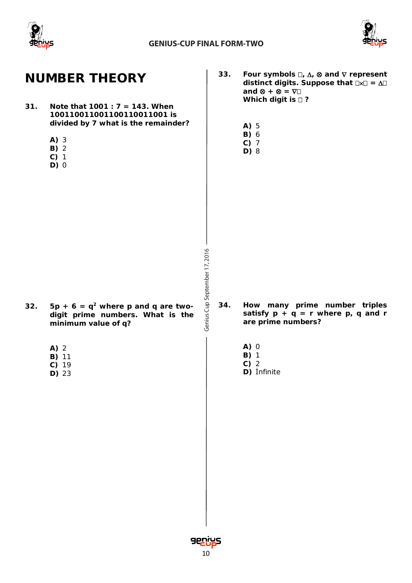



## **NUMBER THEORY**

- **31. Note that 1001 : 7 = 143. When 100110011001100110011001 is divided by 7 what is the remainder?**
	- **A)** 3
	- **B)** 2
	- **C)** 1
	- **D)** 0
- **33. Four symbols ,** ∆**,** ⊗ **and** ∇ **represent**  distinct digits. Suppose that  $\Box x \Box = \Delta \Box$ **and** ⊗ **+** ⊗ **=** ∇ **Which digit is**  $\Box$ **?** 
	- **A)** 5
	- **B)** 6
	- **C)** 7
	- **D)** 8

- 32. **5p** + **6** =  $q^2$  where *p* and *q* are two**digit prime numbers. What is the minimum value of** *q***?**
	- **A)** 2
	- **B)** 11
	- **C)** 19
	- **D)** 23

Genius Cup September 17, 2016 Cup September 17, 2016

- **34. How many prime number triples**  satisfy  $p + q = r$  where  $p, q$  and  $r$ **are prime numbers?**
	- **A)** 0
	- **B)** 1
	- **C)** 2
	- **D)** İnfinite

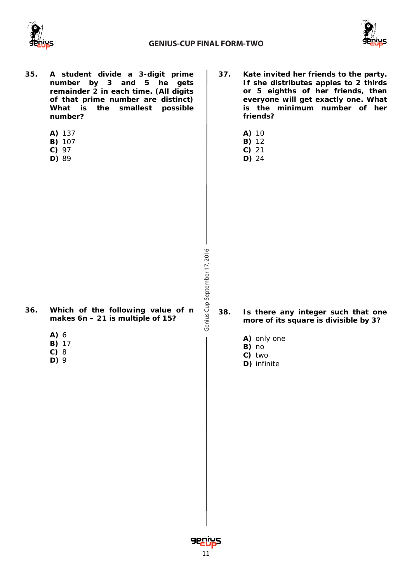



- **35. A student divide a 3-digit prime number by 3 and 5 he gets remainder 2 in each time. (All digits of that prime number are distinct) What is the smallest possible number?**
	- **A)** 137
	- **B)** 107
	- **C)** 97
	- **D)** 89
- **37. Kate invited her friends to the party. If she distributes apples to 2 thirds or 5 eighths of her friends, then everyone will get exactly one. What is the minimum number of her friends?**
	- **A)** 10
	- **B)** 12 **C)** 21
	- **D)** 24

- **36. Which of the following value of** *n* **makes 6***n* **– 21 is multiple of 15?** 
	- **A)** 6
	- **B)** 17
	- **C)** 8
	- **D)** 9
- **38. Is there any integer such that one more of its square is divisible by 3?**
	- **A)** only one
	- **B)** no
	- **C)** two
	- **D)** infinite

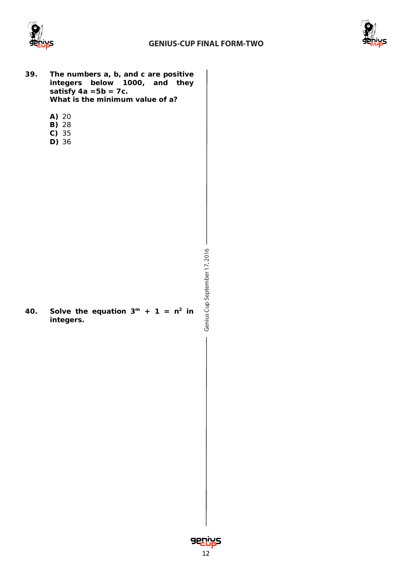



- **39. The numbers** *a, b,* **and** *c* **are positive integers below 1000, and they satisfy 4***a* **=5***b =* **7***c***. What is the minimum value of a?**
	- **A)** 20
	- **B)** 28
	- **C)** 35
	- **D)** 36

- Genius Cup September 17, 2016 Cup September 17, 2016
- 40. Solve the equation  $3^m + 1 = n^2$  in **integers.**

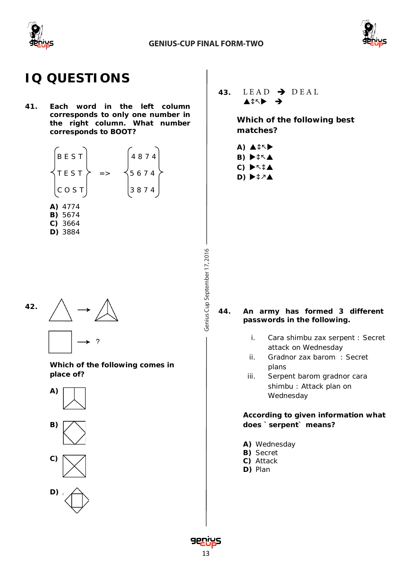



# **IQ QUESTIONS**

**41. Each word in the left column corresponds to only one number in the right column. What number corresponds to BOOT?**

$$
\begin{bmatrix}\nB E S T \\
T E S T \\
C O S T\n\end{bmatrix} \n\begin{bmatrix}\n4874 \\
5674 \\
3874\n\end{bmatrix}
$$
\n  
\n**A)** 4774\n  
\n**B)** 5674\n  
\n**C)** 3664\n  
\n**D)** 3884



**Which of the following comes in place of?**





43.  $LEAD \rightarrow DEAL$  $\blacktriangle$  171

> **Which of the following best matches?**

- **A) A C A B) C)**
- **D)**

- **44. An army has formed 3 different passwords in the following.**
	- i. Cara shimbu zax serpent : Secret attack on Wednesday
	- ii. Gradnor zax barom : Secret plans
	- iii. Serpent barom gradnor cara shimbu : Attack plan on Wednesday

#### **According to given information what does `serpent` means?**

- **A)** Wednesday
- **B)** Secret
- **C)** Attack
- **D)** Plan

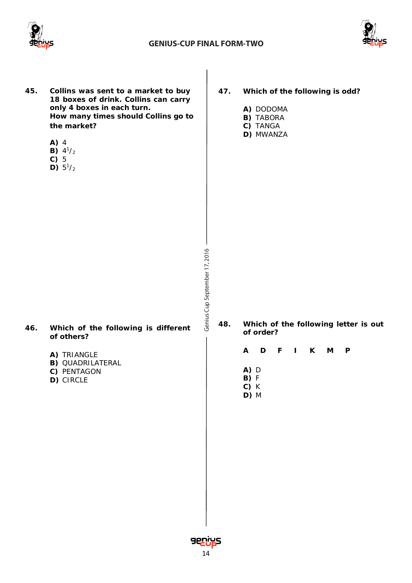



Genius Cup September 17, 2016 Cup September 17, 2016 **45. Collins was sent to a market to buy 18 boxes of drink. Collins can carry only 4 boxes in each turn. How many times should Collins go to the market? A)** 4 **B)**  $4^{1}/2$ **C)** 5 **D)**  $5^{1}/_{2}$ **46. Which of the following is different of others? A)** TRIANGLE **B)** QUADRILATERAL **C)** PENTAGON **D)** CIRCLE **47. Which of the following is odd? A)** DODOMA **B)** TABORA **C)** TANGA **D)** MWANZA **48. Which of the following letter is out of order? A D F I K M P A)** D **B)** F **C)** K **D)** M